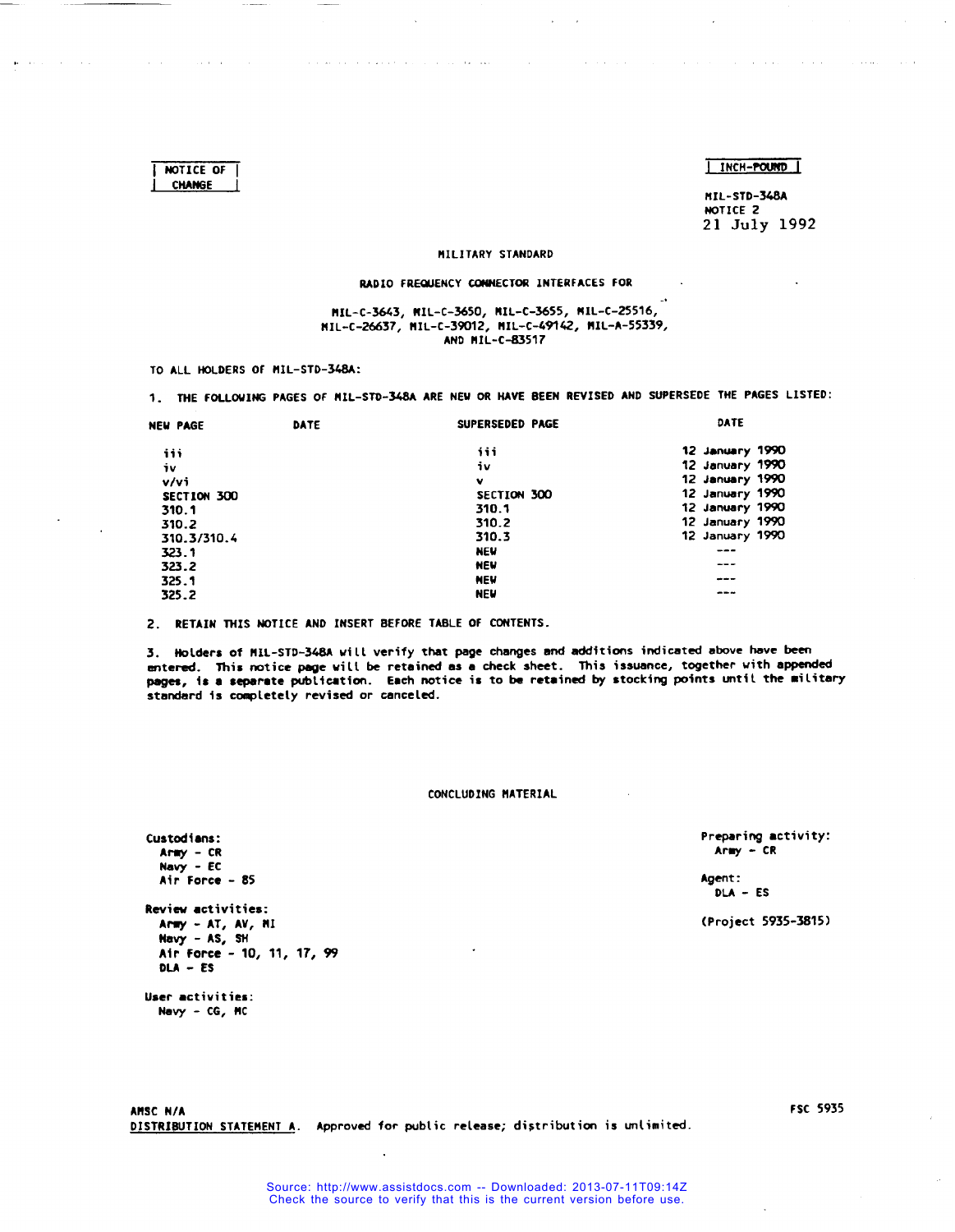J **INCH-POUND (**

**MIL-STD-348A NOTICE 2 21 July 1992**

**.,**

#### **liIL1TARY STANDARD**

,, ,, !..

#### **RADIO FREWENCY CONNECTOR INTERFACES FOR**

#### **MIL-C-3643, MIL-C-3650, NIL-C-3655, NIL-c-25516, NIL-C-26637, HIL-c-39012, f!IL-C-@142, NIL-A-55339, ANO MIL-C-83517**

**TO ALL HOLDERS OF HIL-STD-348A:**

**I NOTICE OF I CNANGE**

**1. TNE FOLLOWING PAGES OF NIL-STO-348A ARE NEW OR NAVE BEEN REVISED ANO SUPERSEOE THE PAGES LISTED:**

| <b>NEW PAGE</b> | DATE | SUPERSEDED PAGE | DATE            |
|-----------------|------|-----------------|-----------------|
| iii             |      | iii             | 12 January 1990 |
| i٧              |      | iv              | 12 January 1990 |
| V/V             |      | v               | 12 January 1990 |
| SECTION 300     |      | SECTION 300     | 12 January 1990 |
| 310.1           |      | 310.1           | 12 January 1990 |
| 310.2           |      | 310.2           | 12 January 1990 |
| 310.3/310.4     |      | 310.3           | 12 January 1990 |
| 323.1           |      | <b>NEW</b>      | ---             |
| 323.2           |      | <b>NEW</b>      | ---             |
| 325.1           |      | <b>NEW</b>      | ---             |
| 325.2           |      | <b>NEW</b>      |                 |
|                 |      |                 |                 |

**2. RETAIN TNIS NOTICE ANO INSERT BEFORE TA8LE OF CONTENTS.**

**3. Nolders of HIL-STD-3@A will verify that page changes and additions indicated above have been mtered. This notice We will be retained as a check sheet. This issuance, together with appended psges, is <sup>a</sup> separate publication. Each notice is to be retairml by stocking points until the** ●**ilitary standard is completely revised or canceled.**

#### **CONCLUDING HATERIAL**

**Preparing** ●**ctivity: Aray - CR**

**Agent: QLA - ES**

**(Project 5935-3815)**

**Review activities: Amy - AT, AV, W Navy - AS, SN Air Force - 10, 11, 17, 99 DLA - ES**

**User** ●**ctivities: Navy - CG, MC**

**Custodians: A- - CR Navy - EC Air Force - 85**

**ARSC NIA DISTRIBUTION STATEMENT A. Approved for public release; distribution is un(imited.** **FSC 5935**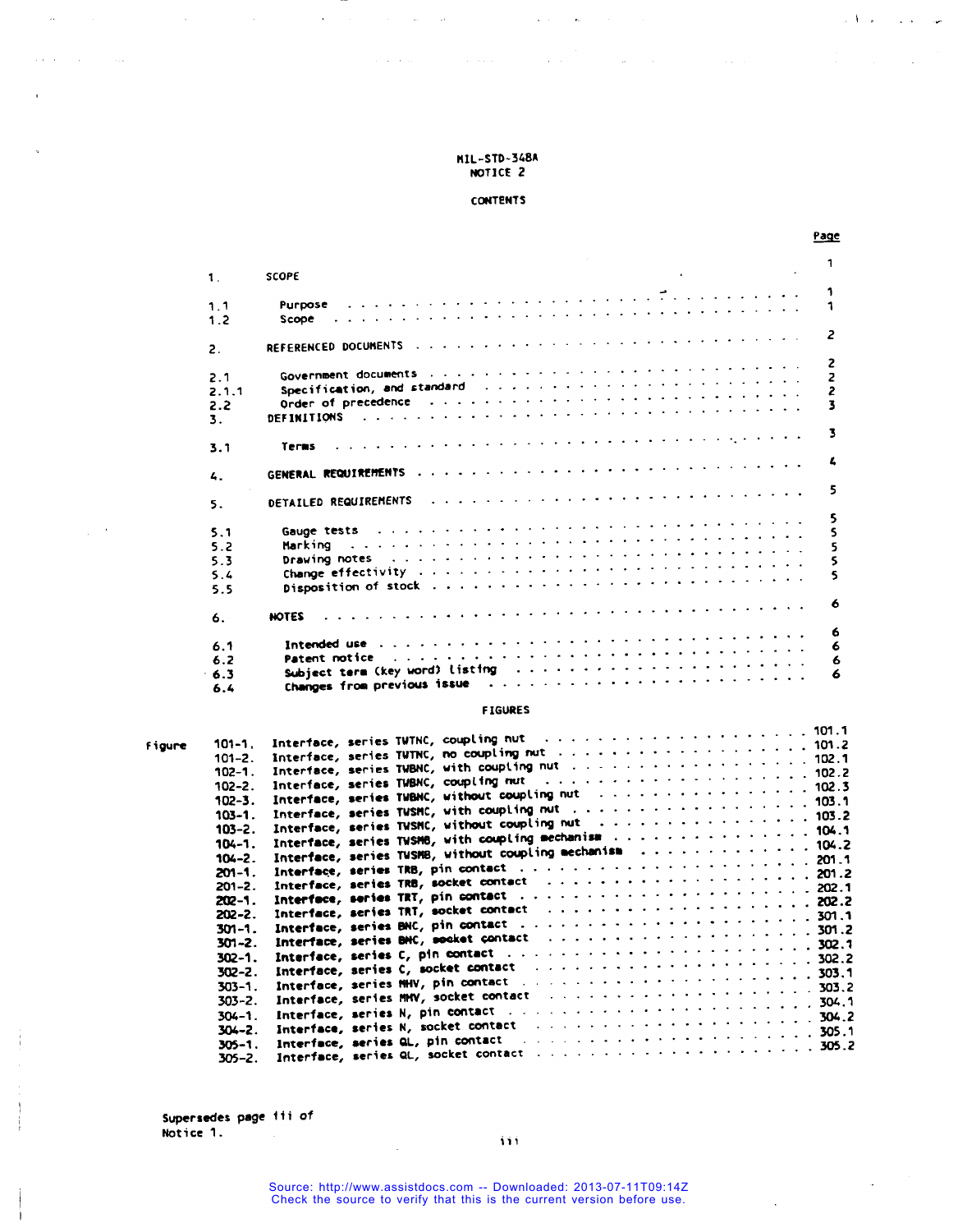is a second contract to the South space  $\mathcal{L}_\text{c}$  , where  $\mathcal{L}_\text{c}$  is a space of  $\mathcal{L}_\text{c}$ 

J.

 $\bar{z}$  :

# **CONTENTS**

Page

المستند

 $\sim 10^{-1}$  .

الموارد والمراج المراكب

|                |                                                                                                                                                                                                                                                            |                                                                                                                                                                                                                               | 1             |
|----------------|------------------------------------------------------------------------------------------------------------------------------------------------------------------------------------------------------------------------------------------------------------|-------------------------------------------------------------------------------------------------------------------------------------------------------------------------------------------------------------------------------|---------------|
| $\mathbf 1$ .  | SCOPE                                                                                                                                                                                                                                                      |                                                                                                                                                                                                                               |               |
|                |                                                                                                                                                                                                                                                            | , which is a constraint of the contract of the contract of the contract of the contract of the contract of the contract of the contract of the contract of the contract of the contract of the contract of the contract of th |               |
| 1.1            | Scope and a subsequently denoted the set of the set of the set of the set of the set of the set of the set of the set of the set of the set of the set of the set of the set of the set of the set of the set of the set of t                              |                                                                                                                                                                                                                               | 1             |
| 1.2            |                                                                                                                                                                                                                                                            |                                                                                                                                                                                                                               | 2             |
| $\mathbf{2}$ . |                                                                                                                                                                                                                                                            |                                                                                                                                                                                                                               |               |
| 2.1            | Government documents is a construction of the construction of the construction of                                                                                                                                                                          |                                                                                                                                                                                                                               | 2             |
| 2.1.1          | Specification, and standard and a subsequently and the set of the state of the state of the state of the state of the state of the state of the state of the state of the state of the state of the state of the state of the                              |                                                                                                                                                                                                                               | $\frac{2}{2}$ |
| 2.2            | Order of precedence of the state of the state of the state of precedence of the state of the state of the state of                                                                                                                                         |                                                                                                                                                                                                                               | 3             |
| 3.             | <b>DEFINITIONS</b>                                                                                                                                                                                                                                         | , which is a constraint of the contract of the contract of the contract of the contract of the contract of the contract of the contract of the contract of the contract of the contract of the contract of the contract of th |               |
| 3.1            | , which is a constraint of the contract of the contract of the contract of the contract of the contract of the contract of the contract of the contract of the contract of the contract of the contract of the contract of th<br>Terms                     |                                                                                                                                                                                                                               | 3             |
|                |                                                                                                                                                                                                                                                            |                                                                                                                                                                                                                               | L             |
| 4.             |                                                                                                                                                                                                                                                            |                                                                                                                                                                                                                               | 5             |
| 5.             | DETAILED REQUIREMENTS                                                                                                                                                                                                                                      | . The second contract is a second contract of the second contract of $\mathcal{F}$                                                                                                                                            |               |
| 5.1            | Gauge tests of a concern contract of a concern contract of the contract of the contract of the contract of the                                                                                                                                             |                                                                                                                                                                                                                               | 5<br>s        |
| 5.2            | Marking                                                                                                                                                                                                                                                    | , where the contribution of the contribution of the contribution of the contribution of the contribution of the contribution of the contribution of the contribution of the contribution of the contribution of the contribut | 5             |
| 5.3            | Drawing notes and a subsequently and a subsequently and a subsequently and the subsequently state of the state of                                                                                                                                          |                                                                                                                                                                                                                               | \$            |
| 5.4            | Change effectivity (e.g., e.g., e.g., e.g., e.g., e.g., e.g., e.g., e.g., e.g., e.g.,                                                                                                                                                                      |                                                                                                                                                                                                                               | 5             |
| 5.5            |                                                                                                                                                                                                                                                            |                                                                                                                                                                                                                               |               |
| 6.             | $\mathcal{L}_{\mathcal{A}}$ , and the state of the state of the state of the state of the state of the state of the state of the state of the state of the state of the state of the state of the state of the state of the state of the s<br><b>NOTES</b> |                                                                                                                                                                                                                               | 6             |
| 6.1            |                                                                                                                                                                                                                                                            |                                                                                                                                                                                                                               | 6<br>6        |
| 6.2            | Patent notice is a consequence of the contract of the consequence of the contract of the contract of the contract of the contract of the contract of the contract of the contract of the contract of the contract of the contr                             |                                                                                                                                                                                                                               | 6             |
| 6.3            | Subject term (key word) listing (a) and a subset of the set of the set of the set of the set of the set of the                                                                                                                                             |                                                                                                                                                                                                                               | 6             |
|                | Changes from previous issue and account of the state of the state of the control of the state of the state of                                                                                                                                              |                                                                                                                                                                                                                               |               |
| 6.4            |                                                                                                                                                                                                                                                            |                                                                                                                                                                                                                               |               |

# **FIGURES**

| <b>Figure</b> | $101 - 1.$  |  | Interface, series TWTNC, coupling nut and account of the contract of the TWT.T                                                                                                                                                 |  |
|---------------|-------------|--|--------------------------------------------------------------------------------------------------------------------------------------------------------------------------------------------------------------------------------|--|
|               | $101 - 2$ . |  |                                                                                                                                                                                                                                |  |
|               | 102-1.      |  |                                                                                                                                                                                                                                |  |
|               | $102 - 2$ . |  | Interface, series TVBNC, coupling nut and account of the contract of the 102.2                                                                                                                                                 |  |
|               | $102 - 3.$  |  | Interface, series TWBNC, without coupling nut $\ldots$ 102.3                                                                                                                                                                   |  |
|               | $103 - 1.$  |  |                                                                                                                                                                                                                                |  |
|               | $103 - 2.$  |  | Interface, series TWSNC, without coupling nut 103.2                                                                                                                                                                            |  |
|               |             |  | Interface, series TWSMB, with coupling mechanism 104.1                                                                                                                                                                         |  |
|               | $104 - 1.$  |  |                                                                                                                                                                                                                                |  |
|               | $104 - 2$ . |  |                                                                                                                                                                                                                                |  |
|               | 201-1.      |  |                                                                                                                                                                                                                                |  |
|               | $201 - 2$ . |  |                                                                                                                                                                                                                                |  |
|               | 202-1.      |  |                                                                                                                                                                                                                                |  |
|               | $202 - 2.$  |  | Interface, series TRT, socket contact $\ldots \ldots \ldots \ldots \ldots \ldots \ldots \ldots \ldots$ 202.2                                                                                                                   |  |
|               | 301-1.      |  |                                                                                                                                                                                                                                |  |
|               | 301-2.      |  |                                                                                                                                                                                                                                |  |
|               | $302 - 1.$  |  | Interface, series C, pin contact (a) contact (a) and contact (b) and contact (b) and contact (b) and contact (b) and contact (b) and contact (b) and contact (b) and contact (b) and contact (b) and contact (b) and contact ( |  |
|               | $302 - 2$ . |  | Interface, series C, socket contact discussed and series of the series of the series of the series of the series of the series of the series of the series of the series of the series of the series of the series of the seri |  |
|               | $303 - 1$ . |  | Interface, series NHV, pin contact is a constant of the context of the context of the series of the context of                                                                                                                 |  |
|               | $303 - 2$ . |  | Interface, series MHV, socket contact and all and all and all all all all all solid 203.2                                                                                                                                      |  |
|               | $304 - 1$ . |  | Interface, series N, pin contact descriptions of the series of the series of 304.1                                                                                                                                             |  |
|               |             |  | Interface, series N, socket contact and all and all all all all all all all all $304.2$                                                                                                                                        |  |
|               | $304 - 2$ . |  |                                                                                                                                                                                                                                |  |
|               | $305 - 1$ . |  |                                                                                                                                                                                                                                |  |
|               | $305 - 2.$  |  |                                                                                                                                                                                                                                |  |

Supersedes page fii of Notice 1.

 $\mathcal{A}$ 

 $\overline{a}$ 

 $\frac{1}{1}$ 

 $\label{eq:3.1} \mathcal{L}(\mathbf{u}) = \mathcal{L}(\mathbf{u}) = \mathcal{L}(\mathbf{u}) = \mathcal{L}(\mathbf{u}) = \mathcal{L}(\mathbf{u}) = \mathcal{L}(\mathbf{u})$ 

 $\bar{z}$ 

 $\bar{z}$ 

 $\mathbf{ii}$ 

 $\bar{a}$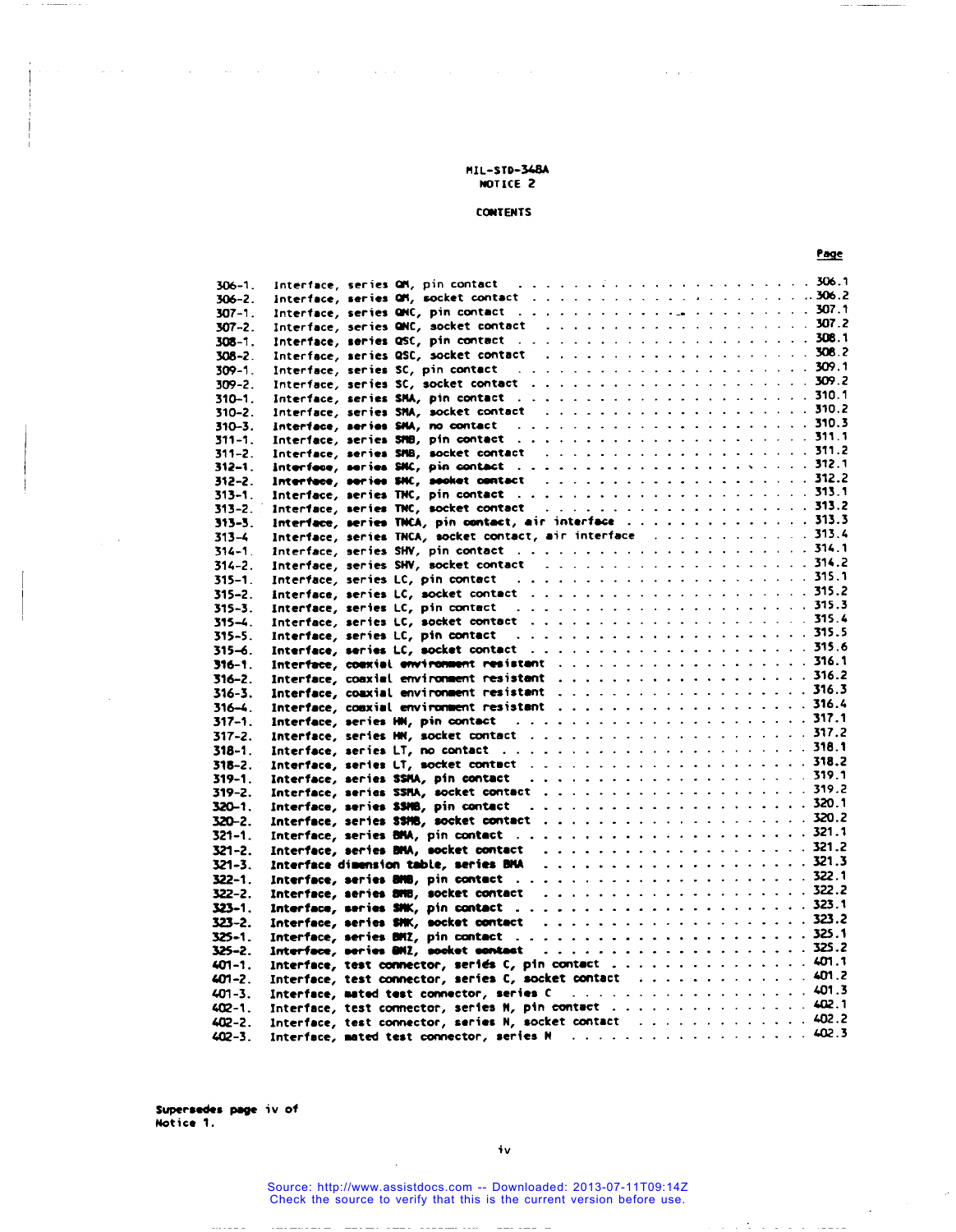$\Delta \sim 10^{-1}$ 

and a

 $\omega$  ,  $\omega$ 

 $\sim$   $\sim$ 

 $\mathbb{R}^2$ 

. . . . . . .

**CONTENTS** 

|                           |                                                                                                                                                                                                                                | Page |
|---------------------------|--------------------------------------------------------------------------------------------------------------------------------------------------------------------------------------------------------------------------------|------|
| $306 - 1$ .               |                                                                                                                                                                                                                                |      |
| $306 - 2$ .               |                                                                                                                                                                                                                                |      |
| $307 - 1$ .               |                                                                                                                                                                                                                                |      |
| $307 - 2$ .               |                                                                                                                                                                                                                                |      |
| $308 - 1$ .               |                                                                                                                                                                                                                                |      |
| $308 - 2$ .               |                                                                                                                                                                                                                                |      |
| $309 - 1$ .               | Interface, series SC, pin contact (and a subset of a series of a series of the SO9.1                                                                                                                                           |      |
| $309 - 2$ .               |                                                                                                                                                                                                                                |      |
| $310 - 1.$                |                                                                                                                                                                                                                                |      |
| $310 - 2$ .               |                                                                                                                                                                                                                                |      |
| $310 - 3$ .               |                                                                                                                                                                                                                                |      |
| $311 - 1.$                |                                                                                                                                                                                                                                |      |
| $311 - 2$ .               | Interface, series SMB, socket contact (a) and a contact (a) and a contact of the contact of the contact of the contact of the contact of the state of the state of the state of the state of the state of the state of the sta |      |
| $312 - 1$ .               |                                                                                                                                                                                                                                |      |
| $312 - 2$ .               |                                                                                                                                                                                                                                |      |
| $313 - 1$ .               |                                                                                                                                                                                                                                |      |
| $313 - 2$ .               |                                                                                                                                                                                                                                |      |
| $313 - 5$ .               | Interface, series TNCA, pin contact, air interface  313.3                                                                                                                                                                      |      |
| $313 - 4$                 | Interface, series TNCA, socket contact, air interface  313.4                                                                                                                                                                   |      |
| $314 - 1$ .               |                                                                                                                                                                                                                                |      |
| $314 - 2$ .               |                                                                                                                                                                                                                                |      |
| $315 - 1$ .               | Interface, series LC, pin contact (a) and a subset of the set of the series of the series of the set of the set of the series of the series of the set of the set of the set of the set of the set of the set of the set of th |      |
| $315 - 2$ .               |                                                                                                                                                                                                                                |      |
| $315 - 3$ .               |                                                                                                                                                                                                                                |      |
| $315 - 4.$                |                                                                                                                                                                                                                                |      |
| $315 - 5.$                |                                                                                                                                                                                                                                |      |
| $315 - 6$ .               |                                                                                                                                                                                                                                |      |
| $316 - 1$ .               |                                                                                                                                                                                                                                |      |
| $316 - 2$ .               |                                                                                                                                                                                                                                |      |
| $316 - 3$ .               |                                                                                                                                                                                                                                |      |
| $316 - 4$ .               |                                                                                                                                                                                                                                |      |
| $317 - 1.$                |                                                                                                                                                                                                                                |      |
| $317 - 2$ .               |                                                                                                                                                                                                                                |      |
| $318 - 1$ .               |                                                                                                                                                                                                                                |      |
| $318 - 2$ .               |                                                                                                                                                                                                                                |      |
| $319 - 1.$                |                                                                                                                                                                                                                                |      |
| $319 - 2.$                |                                                                                                                                                                                                                                |      |
| $320 - 1.$<br>$320 - 2$ . |                                                                                                                                                                                                                                |      |
| $321 - 1$ .               |                                                                                                                                                                                                                                |      |
|                           |                                                                                                                                                                                                                                |      |
| $321 - 2$ .               |                                                                                                                                                                                                                                |      |
| $321 - 3.$                |                                                                                                                                                                                                                                |      |
| $322 - 1.$                |                                                                                                                                                                                                                                |      |
| $322 - 2$ .<br>$323 - 1.$ |                                                                                                                                                                                                                                |      |
|                           |                                                                                                                                                                                                                                |      |
| $323 - 2.$<br>$325 - 1$ . |                                                                                                                                                                                                                                |      |
| $325 - 2$ .               |                                                                                                                                                                                                                                |      |
| $401 - 1$ .               | Interface, test connector, series C, pin contact 401.1                                                                                                                                                                         |      |
| $401 - 2$ .               | Interface, test connector, series C, socket contact 401.2                                                                                                                                                                      |      |
| $401 - 3$ .               |                                                                                                                                                                                                                                |      |
| $402 - 1$ .               | Interface, test connector, series N, pin contact 402.1                                                                                                                                                                         |      |
| $402 - 2$ .               | Interface, test connector, series N, socket contact 402.2                                                                                                                                                                      |      |
| $402 - 3$ .               |                                                                                                                                                                                                                                |      |
|                           |                                                                                                                                                                                                                                |      |

Supersedes page iv of Notice 1.

 $\cdots\cdots\cdots\cdots$ 

 $iv$ 

-- --- -

a de la facilita de la calidad

Source: http://www.assistdocs.com -- Downloaded: 2013-07-11T09:14Z<br>Check the source to verify that this is the current version before use.

 $\ddot{\phantom{a}}$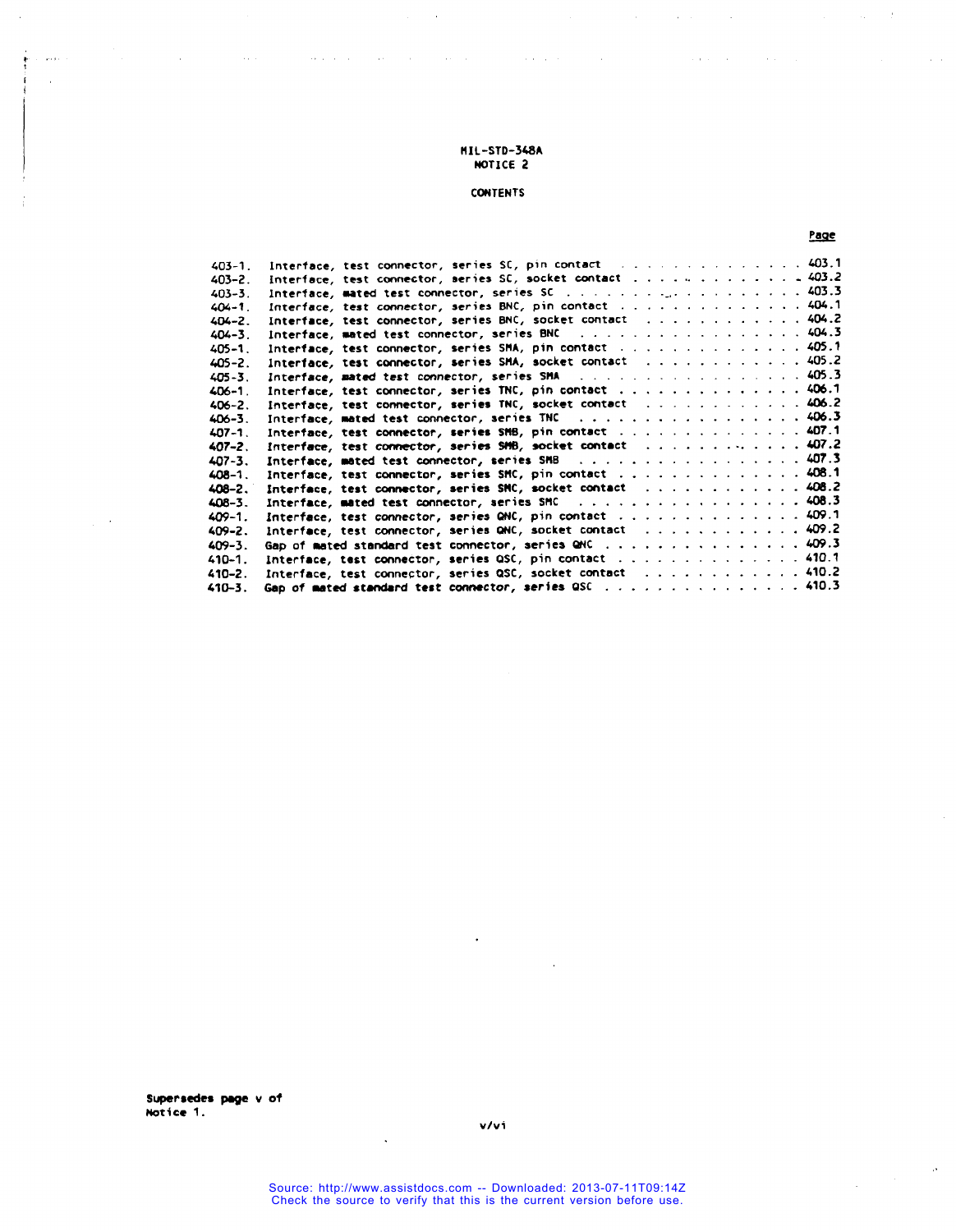المتابعة والمتحادث والمتهادي المتابع والمتابع والمتهاري والمتحدث والمتحدث والمتعرف والمتحدث والمتحدث والمتحدث

# **CONTENTS**

# **Page**

 $\sim 10^7$ 

 $\mathcal{A}$ 

 $\sim$   $\mu$ 

 $\label{eq:2.1} \frac{1}{\sqrt{2\pi}}\int_{0}^{\infty}\frac{d\mu}{\sqrt{2\pi}}\left(\frac{d\mu}{\mu}\right)^{\mu}d\mu.$ 

 $\omega_{\rm{max}}$ 

| $403 - 1$ . | Interface, test connector, series SC, pin contact [1] 403.1                                      |
|-------------|--------------------------------------------------------------------------------------------------|
| $403 - 2$ . | Interface, test connector, series SC, socket contact $\ldots \ldots \ldots \ldots \ldots \ldots$ |
| $403 - 3$ . |                                                                                                  |
| $404 - 1$ . | Interface, test connector, series BNC, pin contact 404.1                                         |
| $404 - 2$ . | Interface, test connector, series BNC, socket contact  404.2                                     |
| $404 - 3$ . | Interface, mated test connector, series BNC 404.3                                                |
| $405 - 1$ . | Interface, test connector, series SMA, pin contact 405.1                                         |
| $405 - 2$ . | Interface, test connector, series SMA, socket contact 405.2                                      |
| $405 - 3$ . | Interface, mated test connector, series SMA 405.3                                                |
| $406 - 1$ . | Interface, test connector, series TNC, pin contact 406.7                                         |
| $406 - 2$ . | Interface, test connector, series TNC, socket contact  406.2                                     |
| $406 - 3$ . | Interface, mated test connector, series TNC 406.3                                                |
| $407 - 1$ . | Interface, test connector, series SMB, pin contact 407.1                                         |
| $407 - 2$ . | Interface, test connector, series SMB, socket contact  407.2                                     |
| $407 - 3$ . | Interface, mated test connector, series SMB 407.3                                                |
| $408 - 1$ . | Interface, test connector, series SMC, pin contact 408.1                                         |
| $408 - 2.$  | Interface, test connector, series SMC, socket contact $\ldots$ 408.2                             |
| $408 - 3$ . | Interface, mated test connector, series SMC 408.3                                                |
| $409 - 1$ . | Interface, test connector, series QNC, pin contact 409.1                                         |
| $409 - 2.$  | Interface, test connector, series QNC, socket contact $\ldots$ ,  409.2                          |
| $409 - 3.$  | Gap of mated standard test connector, series QHC 409.3                                           |
| $410 - 1.$  | Interface, test connector, series QSC, pin contact 410.1                                         |
| $410 - 2.$  | Interface, test connector, series QSC, socket contact 410.2                                      |
| 410-3.      | Gap of mated standard test connector, series QSC 410.3                                           |

**v,'** f

 $\frac{1}{2}$  ,  $\frac{1}{2}$  ,

÷.

 $\ddot{\phantom{a}}$ 

 $\sim 10^{-1}$ 

 $\Delta$ 

 $\overline{\phantom{a}}$ 

 $\ddot{\phantom{a}}$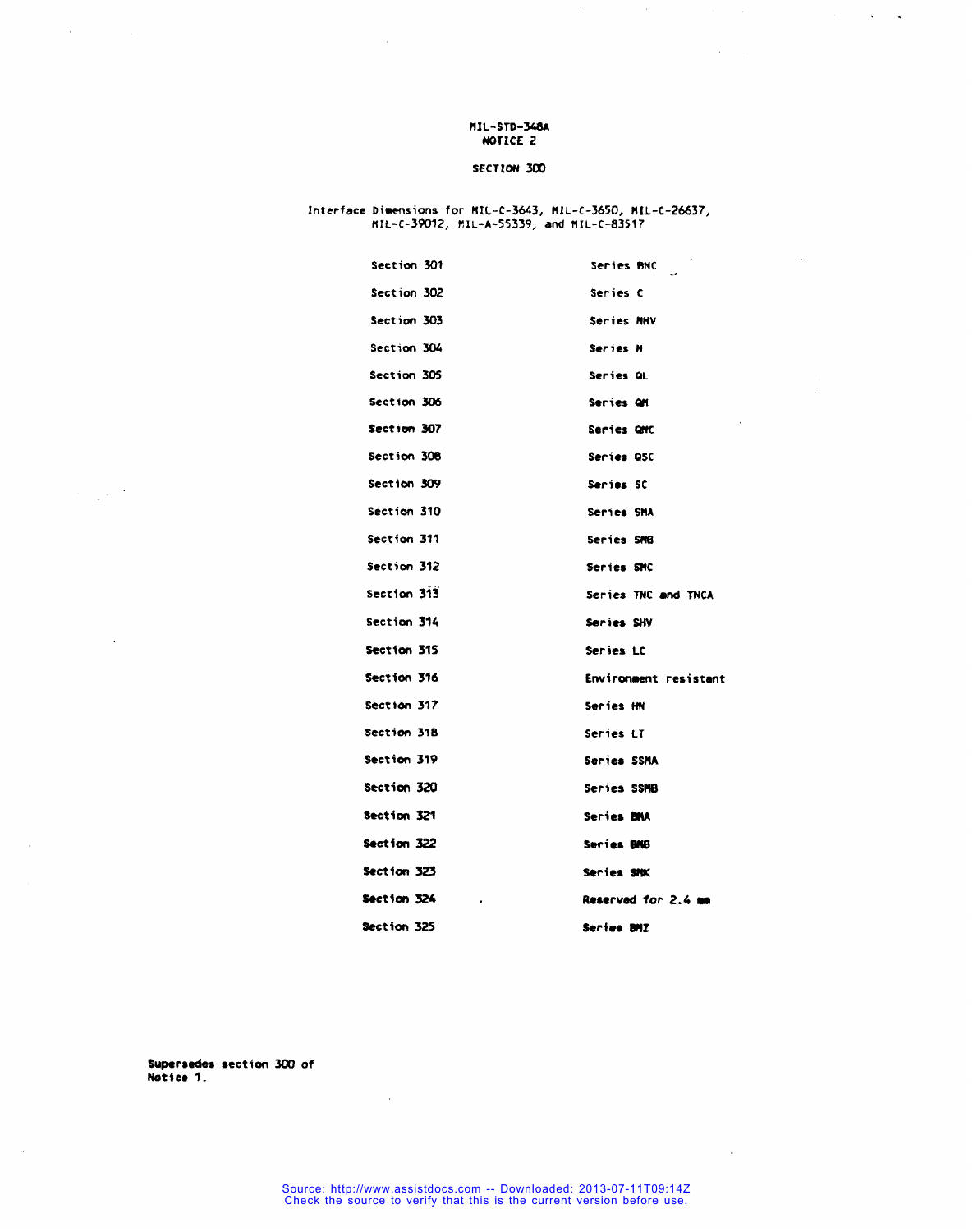$\bar{z}$  $\sim$   $\star$ 

### SECTION 300

# Interface Dimensions for MIL-C-3643, MIL-C-3650, MIL-C-26637,<br>MIL-C-39012, MIL-A-55339, and MIL-C-83517

| Section 301 | Series BNC<br>$\sim$  |
|-------------|-----------------------|
| Section 302 | Series C              |
| Section 303 | Series MHV            |
| Section 304 | Series N              |
| Section 305 | Series QL             |
| Section 306 | Series OM             |
| Section 307 | Series OMC            |
| Section 308 | Series OSC            |
| Section 309 | Series SC             |
| Section 310 | Series SMA            |
| Section 311 | Series SMB            |
| Section 312 | Series SMC            |
| Section 313 | Series TNC and TNCA   |
| Section 314 | Series SHV            |
| Section 315 | Series LC             |
| Section 316 | Environment resistant |
| Section 317 | Series HN             |
| Section 318 | Series LT             |
| Section 319 | Series SSMA           |
| Section 320 | Series SSMB           |
| Section 321 | Series BMA            |
| Section 322 | <b>Series BNB</b>     |
| Section 323 | Series SMK            |
| Section 324 | Reserved for 2.4 mm   |
| Section 325 | Series BMZ            |

Supersedes section 300 of Notice 1.

 $\frac{1}{2} \sqrt{2} \frac{1}{2}$ 

 $\ddot{\phantom{a}}$ 

 $\mathcal{L}_{\rm{in}}$ 

 $\bar{\beta}$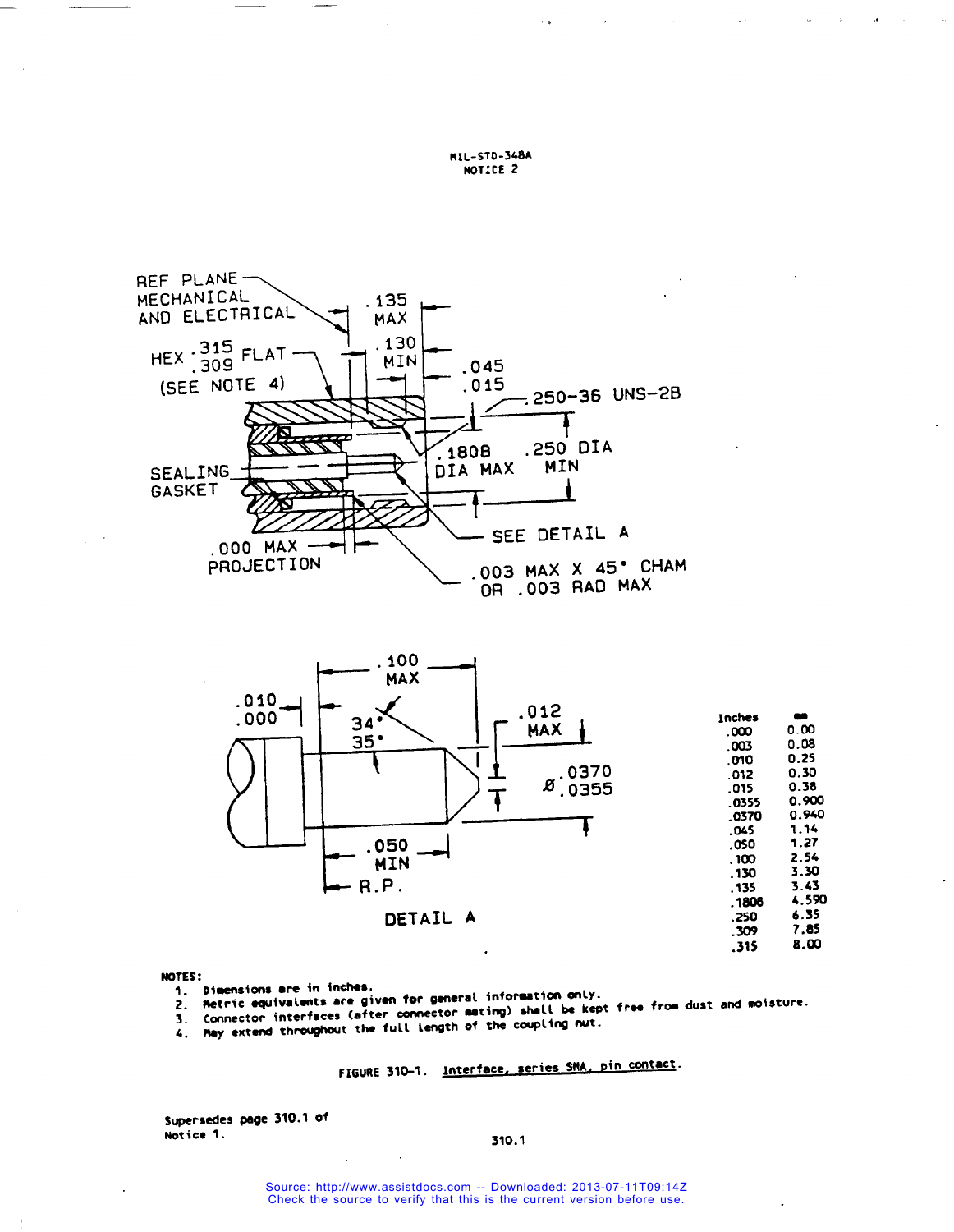



#### NOTES:

- 1. Dimensions are in inches.
- 2. Metric equivalents are given for general information only.
- Connector interfaces (after connector mating) shall be kept free from dust and moisture.
- 4. Hay extend throughout the full length of the coupling nut.

# FIGURE 310-1. Interface, series SMA, pin contact.

Supersedes page 310.1 of Notice 1.

#### 310.1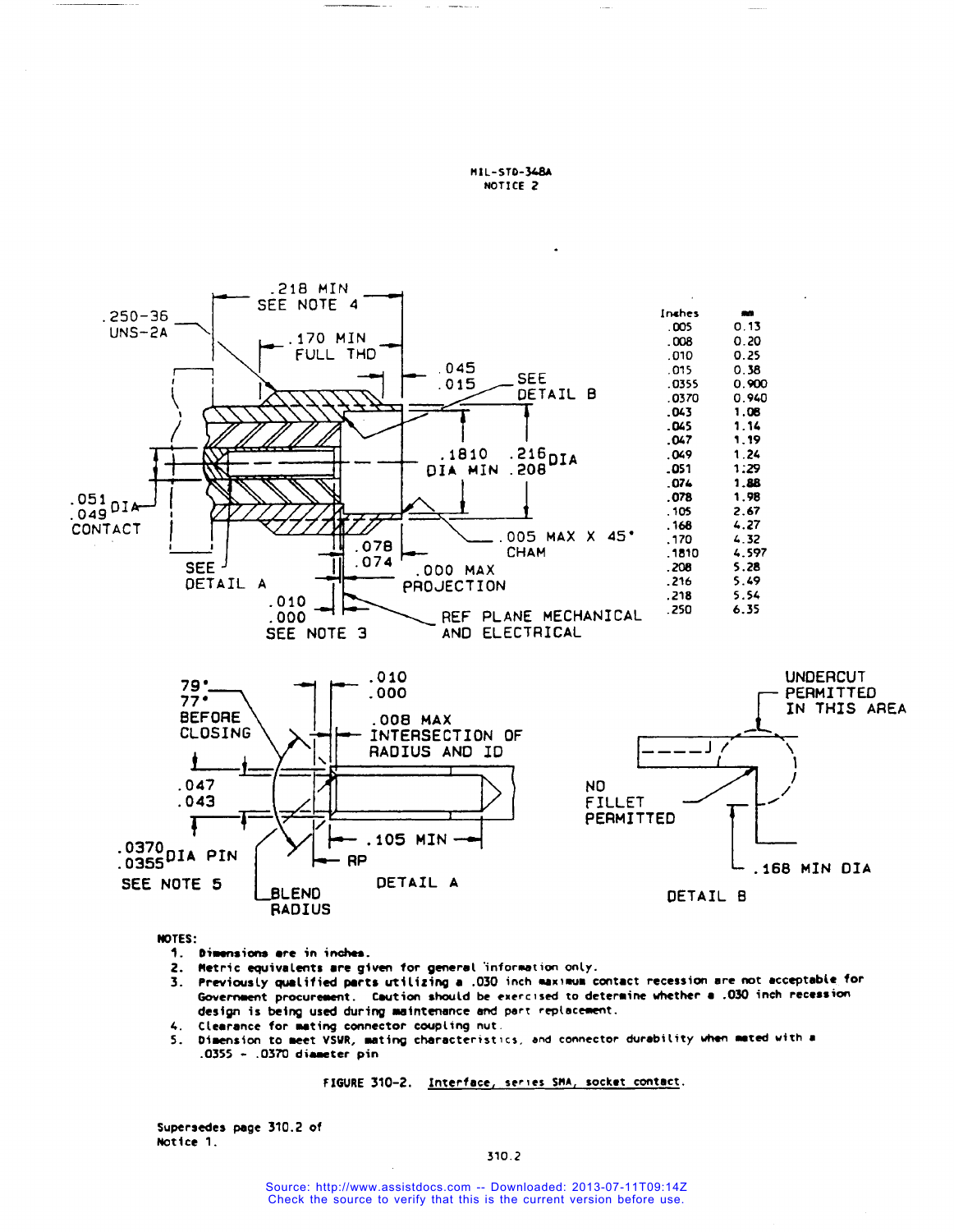

NOTES:

- 1. Dimensions are in inches.
- 2. Metric equivalents are given for general information only.
- Previously qualified parts utilizing a .030 inch maximum contact recession are not acceptable for  $\overline{\mathbf{3}}$ . Government procurement. Caution should be exercised to determine whether a .030 inch recession design is being used during maintenance and part replacement.
- 4. Clearance for mating connector coupling nut.
- 5. Dimension to meet VSWR, mating characteristics, and connector durability when mated with a .0355 - .0370 diameter pin

FIGURE 310-2. Interface, series SMA, socket contact.

Supersedes page 310.2 of Notice 1.

310.2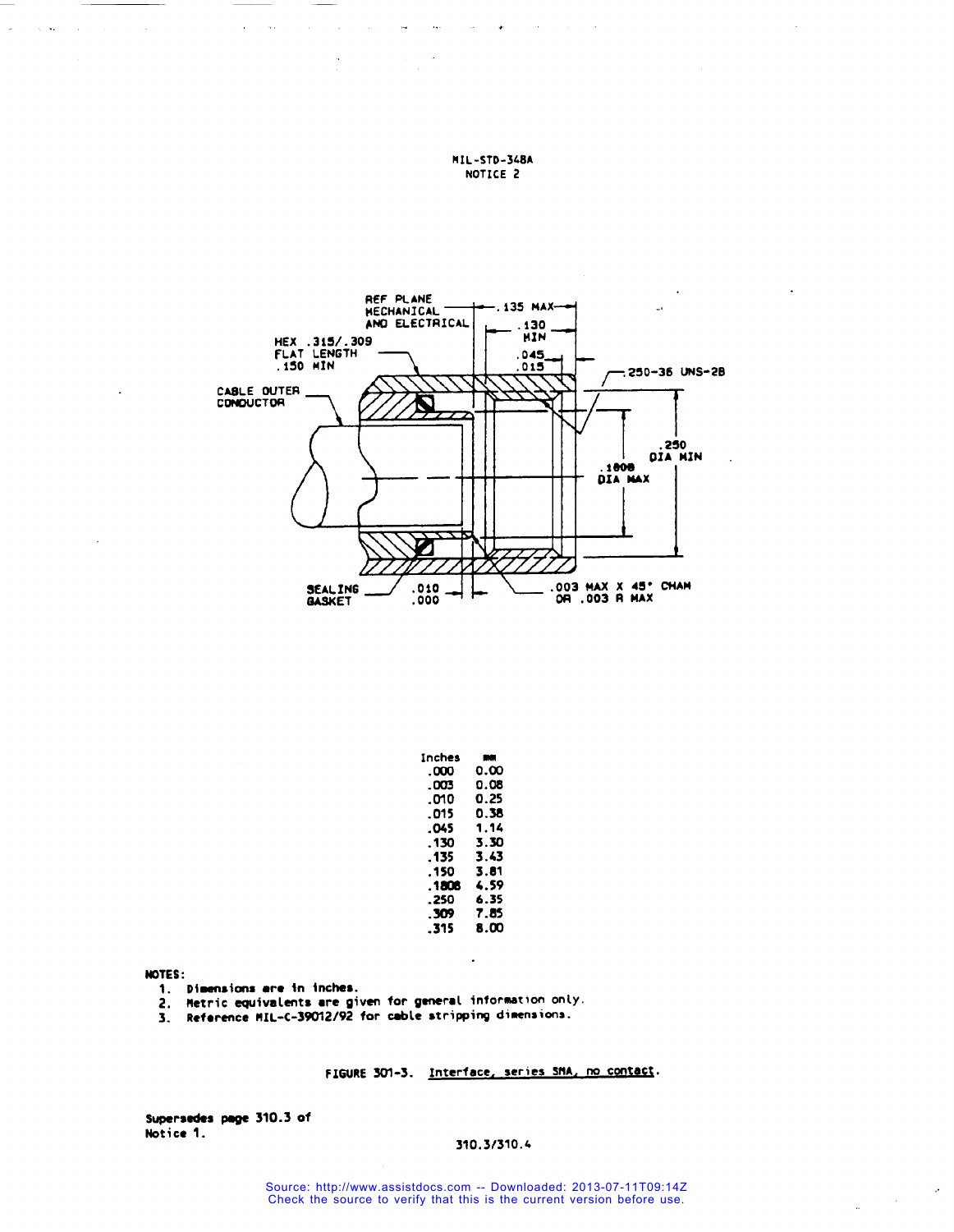

 $\mathbf{r}_{\mathbf{A}^{(n)}}$ 

| Inches | - 10 |
|--------|------|
| .000   | 0.00 |
| . 003  | 0.08 |
| .თი    | 0.25 |
| . 015  | 0.38 |
| .045   | 1.14 |
| . 130  | 3.30 |
| . 135  | 3.43 |
| . 150  | 3.81 |
| .1806  | 4.59 |
| . 250  | 6.35 |
| . 309  | 7.85 |
| .315   | 8.OO |
|        |      |

 $\ddot{\phantom{a}}$ 

NOTES:

1. Dimensions are in inches.

 $\ddot{\phantom{a}}$  $\sim$   $\sim$ 

 $\sim$   $\omega_{\star}$  $\sim$   $\sim$ 

- 2. Hetric equivalents are given for general information only.<br>3. Reference MIL-C-39012/92 for cable stripping dimensions.
- 

FIGURE 301-3. Interface, series SMA, no contact.

Supersedes page 310.3 of Notice 1.

# 310.3/310.4

 $\sim$ 

 $\mathcal{L}^{\mathcal{L}}$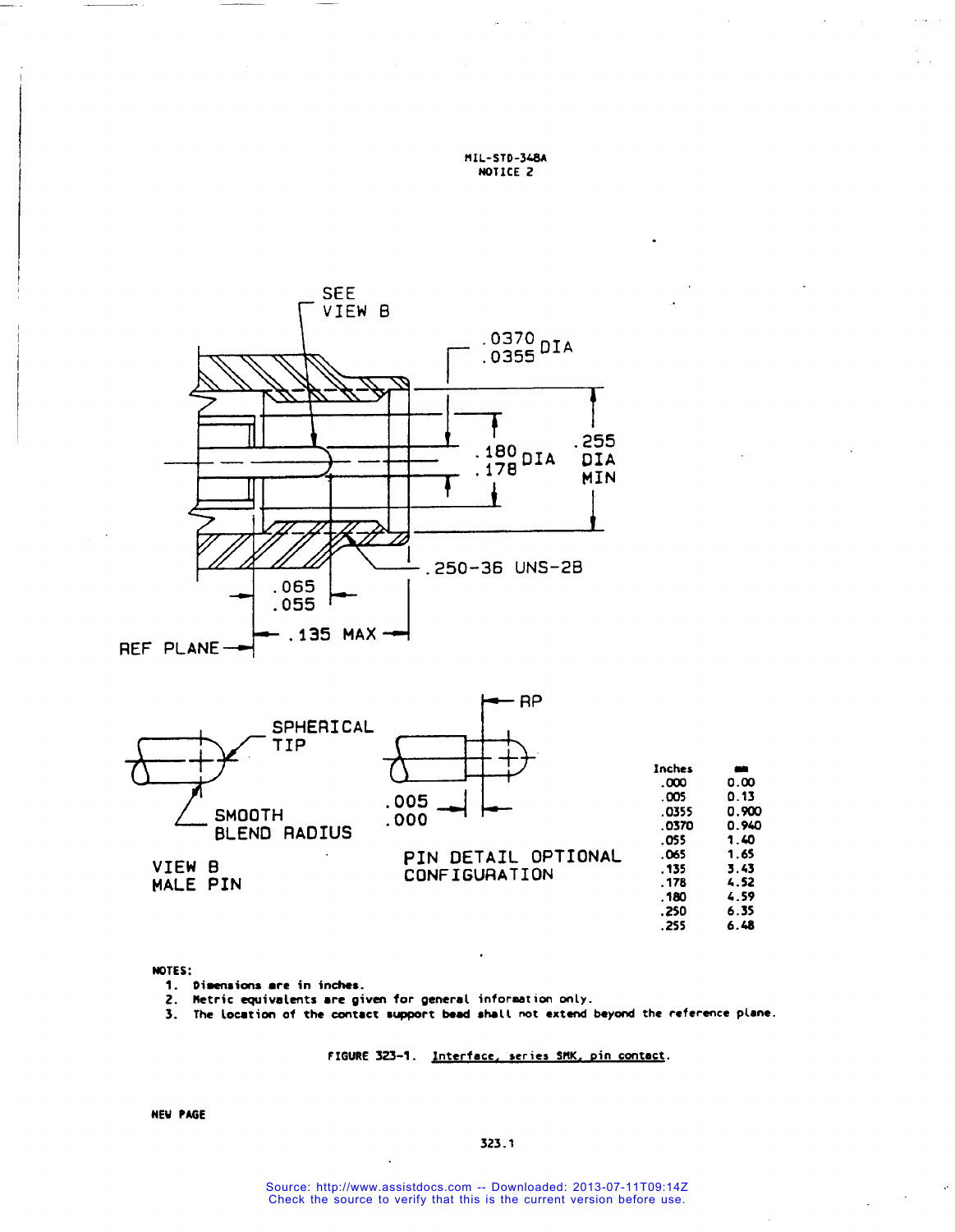



# NOTES:

- 1. Dimensions are in inches.
- 2. Metric equivalents are given for general information only.

3. The location of the contact support bead shall not extend beyond the reference plane.

FIGURE 323-1. Interface, series SMK, pin contact.

 $6.48$ 

 $.255$ 

**NEW PAGE**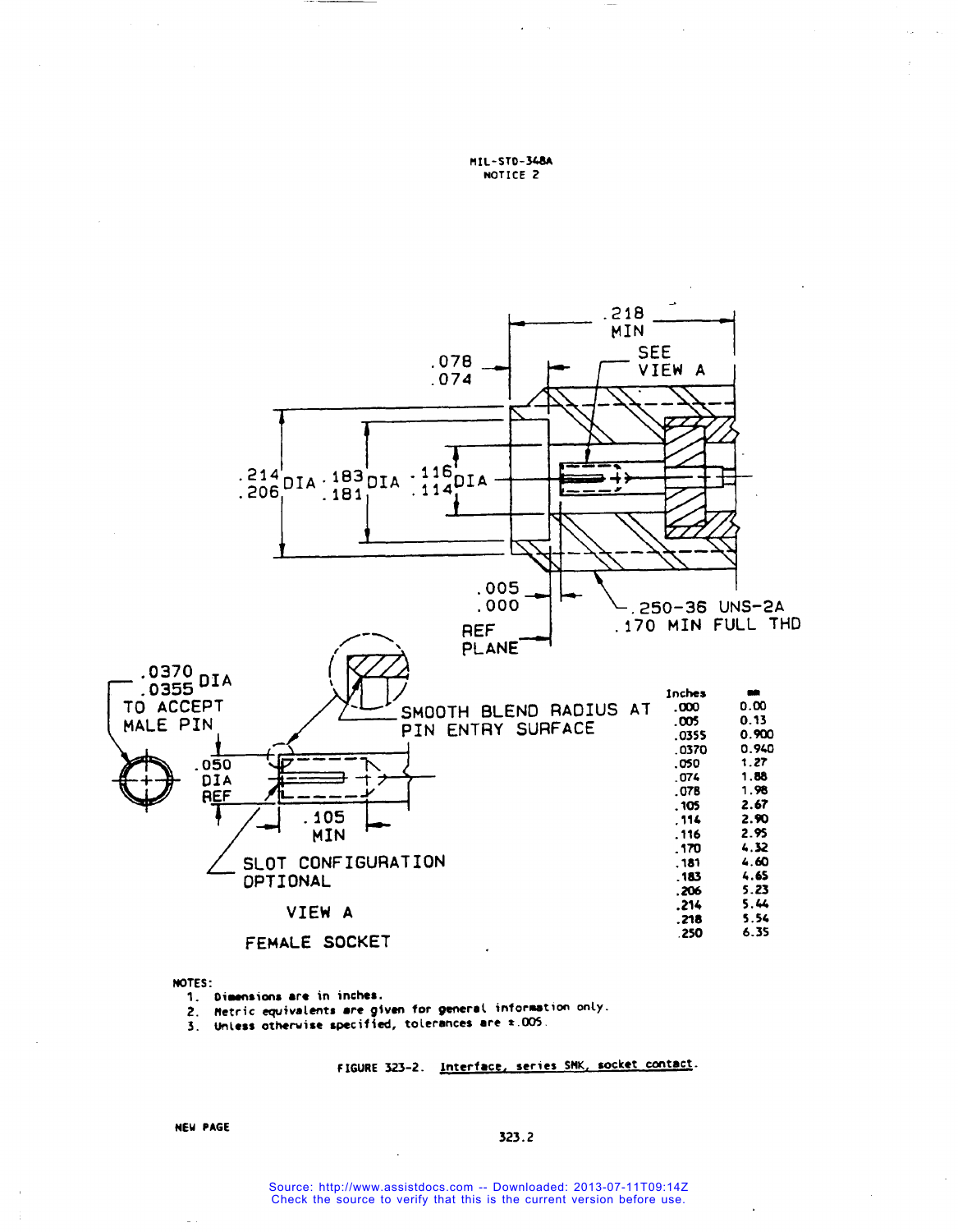

NOTES:

- 1. Dimensions are in inches.
- 2. Hetric equivalents are given for general information only.<br>3. Unless otherwise specified, tolerances are ±.005.
- 

FIGURE 323-2. Interface, series SMK, socket contact.

**NEW PAGE** 

#### 323.2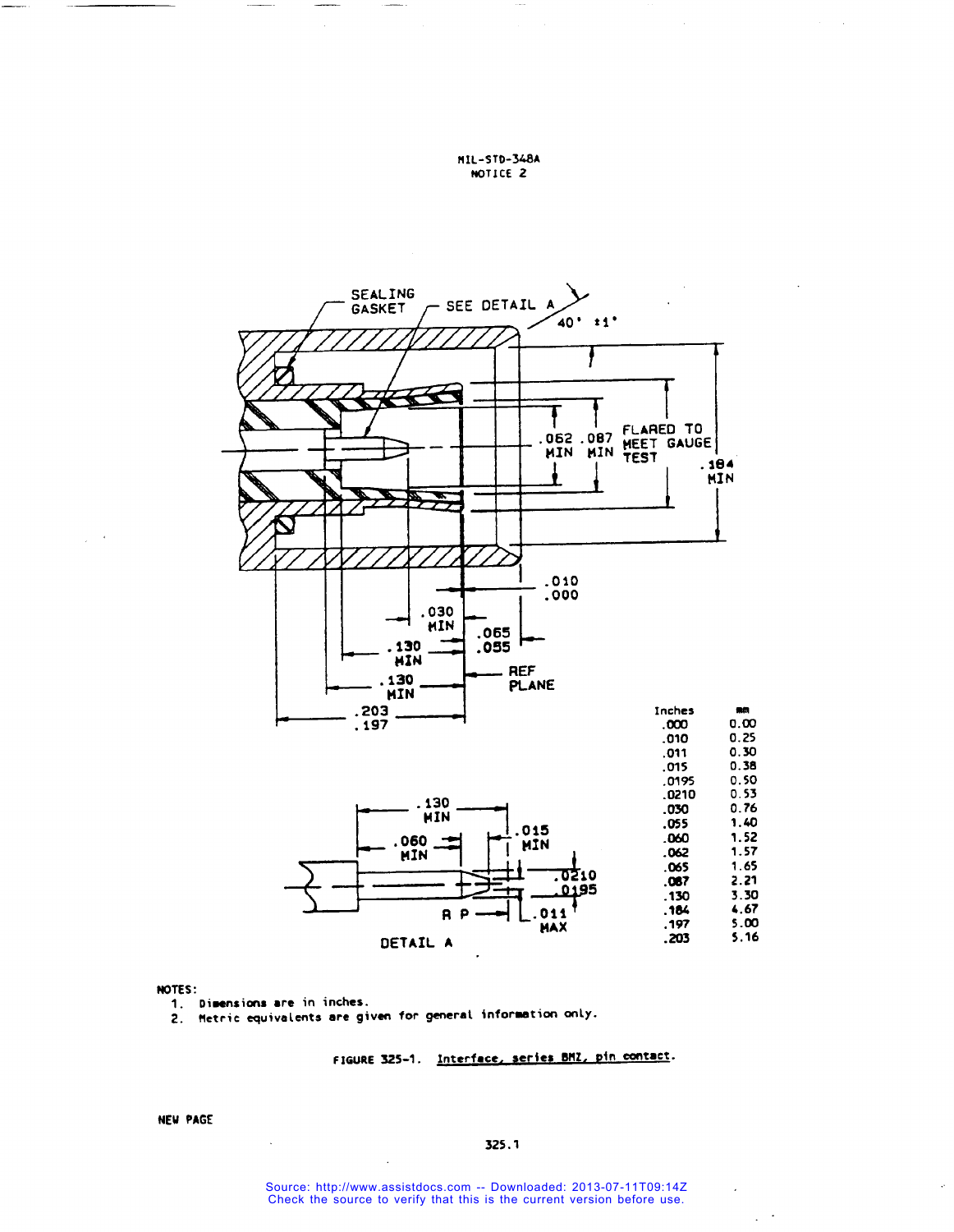



#### NOTES:

1. Dimensions are in inches.

2. Metric equivalents are given for general information only.

FIGURE 325-1. Interface, series BMZ, pin contact.

**NEW PAGE** 

 $\epsilon$  $\ddot{\phantom{a}}$